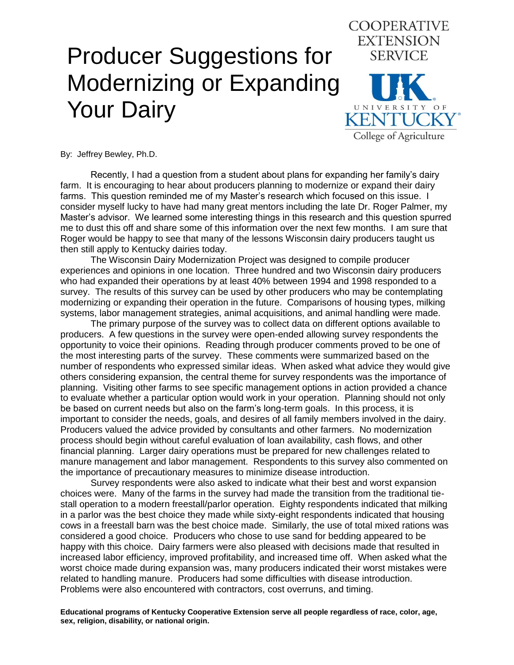# Producer Suggestions for Modernizing or Expanding Your Dairy



By: Jeffrey Bewley, Ph.D.

Recently, I had a question from a student about plans for expanding her family's dairy farm. It is encouraging to hear about producers planning to modernize or expand their dairy farms. This question reminded me of my Master's research which focused on this issue. I consider myself lucky to have had many great mentors including the late Dr. Roger Palmer, my Master's advisor. We learned some interesting things in this research and this question spurred me to dust this off and share some of this information over the next few months. I am sure that Roger would be happy to see that many of the lessons Wisconsin dairy producers taught us then still apply to Kentucky dairies today.

The Wisconsin Dairy Modernization Project was designed to compile producer experiences and opinions in one location. Three hundred and two Wisconsin dairy producers who had expanded their operations by at least 40% between 1994 and 1998 responded to a survey. The results of this survey can be used by other producers who may be contemplating modernizing or expanding their operation in the future. Comparisons of housing types, milking systems, labor management strategies, animal acquisitions, and animal handling were made.

The primary purpose of the survey was to collect data on different options available to producers. A few questions in the survey were open-ended allowing survey respondents the opportunity to voice their opinions. Reading through producer comments proved to be one of the most interesting parts of the survey. These comments were summarized based on the number of respondents who expressed similar ideas. When asked what advice they would give others considering expansion, the central theme for survey respondents was the importance of planning. Visiting other farms to see specific management options in action provided a chance to evaluate whether a particular option would work in your operation. Planning should not only be based on current needs but also on the farm's long-term goals. In this process, it is important to consider the needs, goals, and desires of all family members involved in the dairy. Producers valued the advice provided by consultants and other farmers. No modernization process should begin without careful evaluation of loan availability, cash flows, and other financial planning. Larger dairy operations must be prepared for new challenges related to manure management and labor management. Respondents to this survey also commented on the importance of precautionary measures to minimize disease introduction.

Survey respondents were also asked to indicate what their best and worst expansion choices were. Many of the farms in the survey had made the transition from the traditional tiestall operation to a modern freestall/parlor operation. Eighty respondents indicated that milking in a parlor was the best choice they made while sixty-eight respondents indicated that housing cows in a freestall barn was the best choice made. Similarly, the use of total mixed rations was considered a good choice. Producers who chose to use sand for bedding appeared to be happy with this choice. Dairy farmers were also pleased with decisions made that resulted in increased labor efficiency, improved profitability, and increased time off. When asked what the worst choice made during expansion was, many producers indicated their worst mistakes were related to handling manure. Producers had some difficulties with disease introduction. Problems were also encountered with contractors, cost overruns, and timing.

**Educational programs of Kentucky Cooperative Extension serve all people regardless of race, color, age, sex, religion, disability, or national origin.**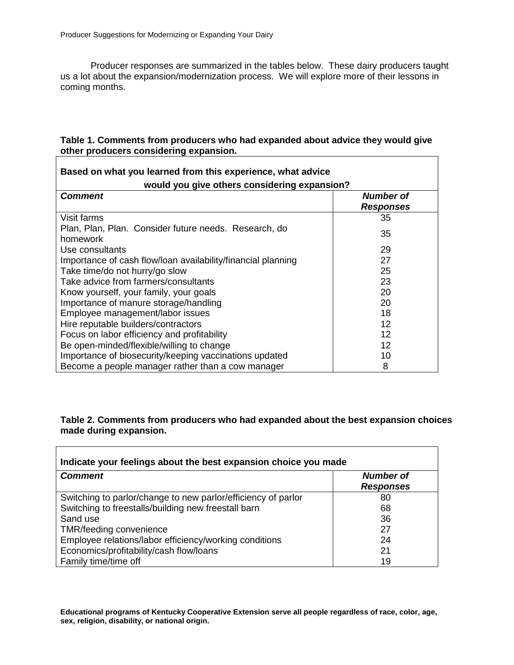Producer responses are summarized in the tables below. These dairy producers taught us a lot about the expansion/modernization process. We will explore more of their lessons in coming months.

# **Table 1. Comments from producers who had expanded about advice they would give other producers considering expansion.**

٦

| Based on what you learned from this experience, what advice       |                                      |  |
|-------------------------------------------------------------------|--------------------------------------|--|
| would you give others considering expansion?                      |                                      |  |
| <b>Comment</b>                                                    | <b>Number of</b><br><b>Responses</b> |  |
| Visit farms                                                       | 35                                   |  |
| Plan, Plan, Plan. Consider future needs. Research, do<br>homework | 35                                   |  |
| Use consultants                                                   | 29                                   |  |
| Importance of cash flow/loan availability/financial planning      | 27                                   |  |
| Take time/do not hurry/go slow                                    | 25                                   |  |
| Take advice from farmers/consultants                              | 23                                   |  |
| Know yourself, your family, your goals                            | 20                                   |  |
| Importance of manure storage/handling                             | 20                                   |  |
| Employee management/labor issues                                  | 18                                   |  |
| Hire reputable builders/contractors                               | 12                                   |  |
| Focus on labor efficiency and profitability                       | 12                                   |  |
| Be open-minded/flexible/willing to change                         | 12                                   |  |
| Importance of biosecurity/keeping vaccinations updated            | 10                                   |  |
| Become a people manager rather than a cow manager                 | 8                                    |  |

# **Table 2. Comments from producers who had expanded about the best expansion choices made during expansion.**

| Indicate your feelings about the best expansion choice you made |                                      |  |
|-----------------------------------------------------------------|--------------------------------------|--|
| <b>Comment</b>                                                  | <b>Number of</b><br><b>Responses</b> |  |
| Switching to parlor/change to new parlor/efficiency of parlor   | 80                                   |  |
| Switching to freestalls/building new freestall barn             | 68                                   |  |
| Sand use                                                        | 36                                   |  |
| TMR/feeding convenience                                         | 27                                   |  |
| Employee relations/labor efficiency/working conditions          | 24                                   |  |
| Economics/profitability/cash flow/loans                         | 21                                   |  |
| Family time/time off                                            | 19                                   |  |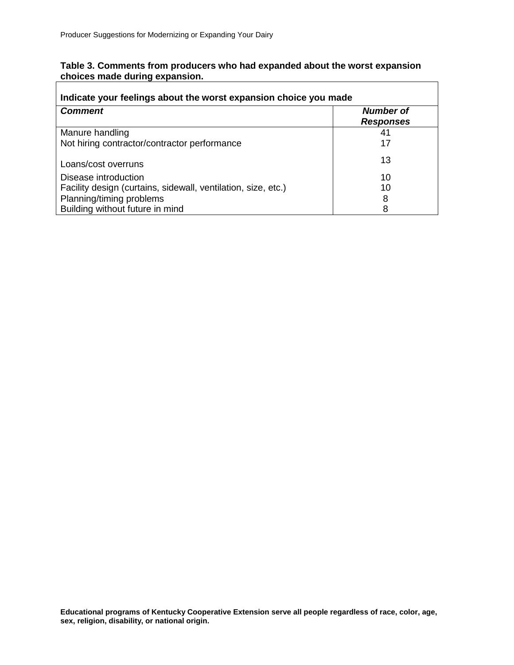ľ

| Table 3. Comments from producers who had expanded about the worst expansion |  |
|-----------------------------------------------------------------------------|--|
| choices made during expansion.                                              |  |

| Indicate your feelings about the worst expansion choice you made |                                      |  |
|------------------------------------------------------------------|--------------------------------------|--|
| <b>Comment</b>                                                   | <b>Number of</b><br><b>Responses</b> |  |
| Manure handling                                                  | 41                                   |  |
| Not hiring contractor/contractor performance                     | 17                                   |  |
| Loans/cost overruns                                              | 13                                   |  |
| Disease introduction                                             | 10                                   |  |
| Facility design (curtains, sidewall, ventilation, size, etc.)    | 10                                   |  |
| Planning/timing problems                                         | 8                                    |  |
| Building without future in mind                                  | 8                                    |  |